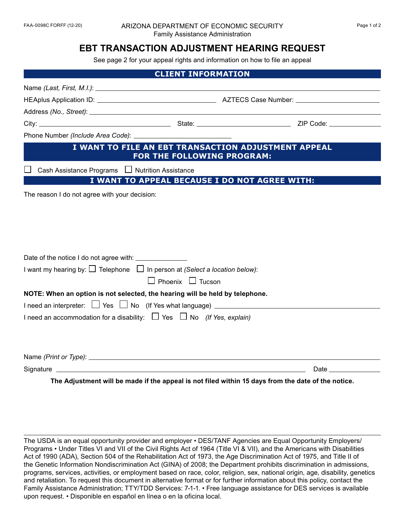#### FAA-0098C FORFF (12-20) ARIZONA DEPARTMENT OF ECONOMIC SECURITY Page 1 of 2 Family Assistance Administration

## **EBT TRANSACTION ADJUSTMENT HEARING REQUEST**

See page 2 for your appeal rights and information on how to file an appeal

| <b>CLIENT INFORMATION</b>                                                                                                                        |                              |                                                                                                                                                                                                                                |
|--------------------------------------------------------------------------------------------------------------------------------------------------|------------------------------|--------------------------------------------------------------------------------------------------------------------------------------------------------------------------------------------------------------------------------|
|                                                                                                                                                  |                              |                                                                                                                                                                                                                                |
|                                                                                                                                                  |                              |                                                                                                                                                                                                                                |
|                                                                                                                                                  |                              |                                                                                                                                                                                                                                |
|                                                                                                                                                  |                              |                                                                                                                                                                                                                                |
|                                                                                                                                                  |                              |                                                                                                                                                                                                                                |
| I WANT TO FILE AN EBT TRANSACTION ADJUSTMENT APPEAL<br>FOR THE FOLLOWING PROGRAM:                                                                |                              |                                                                                                                                                                                                                                |
| Cash Assistance Programs □ Nutrition Assistance                                                                                                  |                              |                                                                                                                                                                                                                                |
|                                                                                                                                                  |                              | I WANT TO APPEAL BECAUSE I DO NOT AGREE WITH:                                                                                                                                                                                  |
| The reason I do not agree with your decision:                                                                                                    |                              |                                                                                                                                                                                                                                |
| Date of the notice I do not agree with: _______________<br>I want my hearing by: $\Box$ Telephone $\Box$ In person at (Select a location below): | $\Box$ Phoenix $\Box$ Tucson |                                                                                                                                                                                                                                |
| NOTE: When an option is not selected, the hearing will be held by telephone.                                                                     |                              |                                                                                                                                                                                                                                |
| I need an interpreter: □ Yes □ No (If Yes what language) _______________________                                                                 |                              |                                                                                                                                                                                                                                |
| I need an accommodation for a disability: $\Box$ Yes $\Box$ No (If Yes, explain)                                                                 |                              |                                                                                                                                                                                                                                |
|                                                                                                                                                  |                              |                                                                                                                                                                                                                                |
|                                                                                                                                                  |                              | Date the contract of the contract of the contract of the contract of the contract of the contract of the contract of the contract of the contract of the contract of the contract of the contract of the contract of the contr |
|                                                                                                                                                  |                              | The Adjustment will be made if the appeal is not filed within 15 days from the date of the notice.                                                                                                                             |

The USDA is an equal opportunity provider and employer • DES/TANF Agencies are Equal Opportunity Employers/ Programs • Under Titles VI and VII of the Civil Rights Act of 1964 (Title VI & VII), and the Americans with Disabilities Act of 1990 (ADA), Section 504 of the Rehabilitation Act of 1973, the Age Discrimination Act of 1975, and Title II of the Genetic Information Nondiscrimination Act (GINA) of 2008; the Department prohibits discrimination in admissions, programs, services, activities, or employment based on race, color, religion, sex, national origin, age, disability, genetics and retaliation. To request this document in alternative format or for further information about this policy, contact the Family Assistance Administration; TTY/TDD Services: 7-1-1. • Free language assistance for DES services is available upon request. • Disponible en español en línea o en la oficina local.